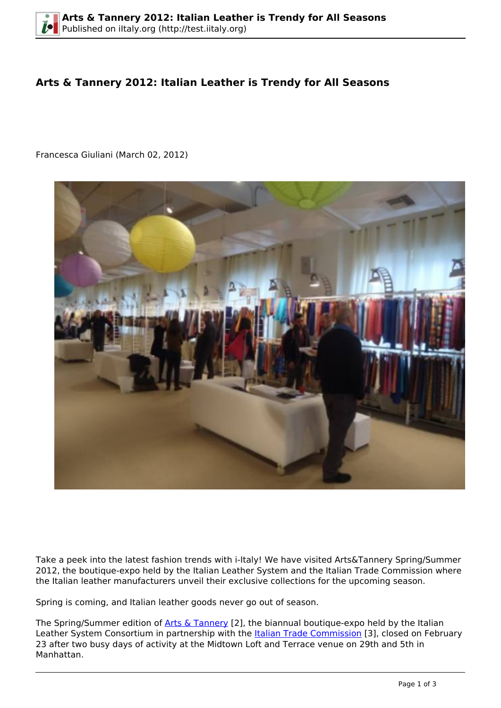## **Arts & Tannery 2012: Italian Leather is Trendy for All Seasons**

Francesca Giuliani (March 02, 2012)



Take a peek into the latest fashion trends with i-Italy! We have visited Arts&Tannery Spring/Summer 2012, the boutique-expo held by the Italian Leather System and the Italian Trade Commission where the Italian leather manufacturers unveil their exclusive collections for the upcoming season.

Spring is coming, and Italian leather goods never go out of season.

The Spring/Summer edition of [Arts & Tannery](http://www.artsandtannery.com) [2], the biannual boutique-expo held by the Italian Leather System Consortium in partnership with the **Italian Trade Commission** [3], closed on February 23 after two busy days of activity at the Midtown Loft and Terrace venue on 29th and 5th in Manhattan.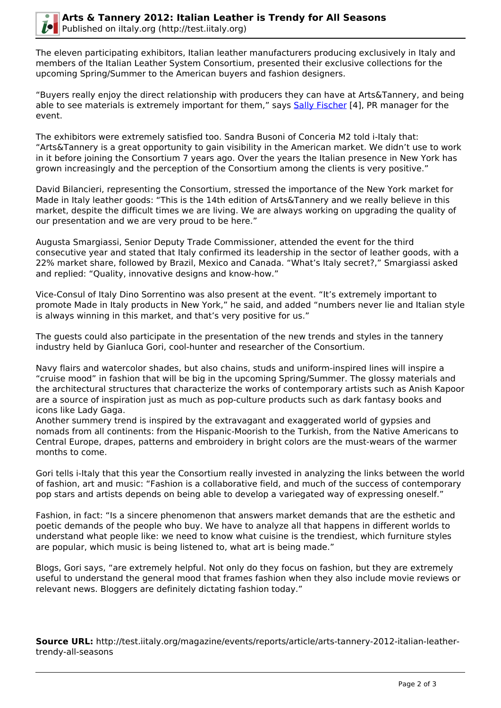

The eleven participating exhibitors, Italian leather manufacturers producing exclusively in Italy and members of the Italian Leather System Consortium, presented their exclusive collections for the upcoming Spring/Summer to the American buyers and fashion designers.

"Buyers really enjoy the direct relationship with producers they can have at Arts&Tannery, and being able to see materials is extremely important for them," says [Sally Fischer](http://www.sallyfischerpr.com) [4], PR manager for the event.

The exhibitors were extremely satisfied too. Sandra Busoni of Conceria M2 told i-Italy that: "Arts&Tannery is a great opportunity to gain visibility in the American market. We didn't use to work in it before joining the Consortium 7 years ago. Over the years the Italian presence in New York has grown increasingly and the perception of the Consortium among the clients is very positive."

David Bilancieri, representing the Consortium, stressed the importance of the New York market for Made in Italy leather goods: "This is the 14th edition of Arts&Tannery and we really believe in this market, despite the difficult times we are living. We are always working on upgrading the quality of our presentation and we are very proud to be here."

Augusta Smargiassi, Senior Deputy Trade Commissioner, attended the event for the third consecutive year and stated that Italy confirmed its leadership in the sector of leather goods, with a 22% market share, followed by Brazil, Mexico and Canada. "What's Italy secret?," Smargiassi asked and replied: "Quality, innovative designs and know-how."

Vice-Consul of Italy Dino Sorrentino was also present at the event. "It's extremely important to promote Made in Italy products in New York," he said, and added "numbers never lie and Italian style is always winning in this market, and that's very positive for us."

The guests could also participate in the presentation of the new trends and styles in the tannery industry held by Gianluca Gori, cool-hunter and researcher of the Consortium.

Navy flairs and watercolor shades, but also chains, studs and uniform-inspired lines will inspire a "cruise mood" in fashion that will be big in the upcoming Spring/Summer. The glossy materials and the architectural structures that characterize the works of contemporary artists such as Anish Kapoor are a source of inspiration just as much as pop-culture products such as dark fantasy books and icons like Lady Gaga.

Another summery trend is inspired by the extravagant and exaggerated world of gypsies and nomads from all continents: from the Hispanic-Moorish to the Turkish, from the Native Americans to Central Europe, drapes, patterns and embroidery in bright colors are the must-wears of the warmer months to come.

Gori tells i-Italy that this year the Consortium really invested in analyzing the links between the world of fashion, art and music: "Fashion is a collaborative field, and much of the success of contemporary pop stars and artists depends on being able to develop a variegated way of expressing oneself."

Fashion, in fact: "Is a sincere phenomenon that answers market demands that are the esthetic and poetic demands of the people who buy. We have to analyze all that happens in different worlds to understand what people like: we need to know what cuisine is the trendiest, which furniture styles are popular, which music is being listened to, what art is being made."

Blogs, Gori says, "are extremely helpful. Not only do they focus on fashion, but they are extremely useful to understand the general mood that frames fashion when they also include movie reviews or relevant news. Bloggers are definitely dictating fashion today."

**Source URL:** http://test.iitaly.org/magazine/events/reports/article/arts-tannery-2012-italian-leathertrendy-all-seasons